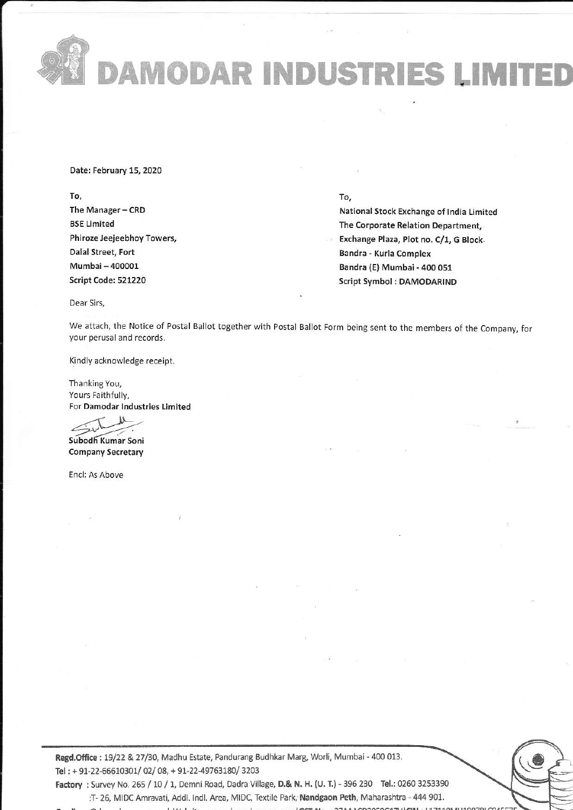DAMODAR INDUSTRIES LIMITED

Date: February 15, 2020 Daie: February 15,2020

# To,

The Manager - CRD BSE Limited BSE Limited Phiroze Jeejeebhoy Towers, Phiroze leej€ebhov Towers, Dalal Street, Fort Dalal Streei, Fort Mumbai - 400001 Mumbai-400001 Script Code: 521220 Script Code:521220

# To,

National Stock Exchange of India Limited The Corporate Relation Department, The Corporate Relation Department, Exchange Plaza, Plot no. C/1, G Block. . Exchange Plaza, Plot no. C/1, G Block. Sandra - Kurla Complex Bandra - Kurla complex Bandra (E) Mumbai - 400 051 Script Symbol: DAMODARIND Script Symbol : OAMODARIND

Dear Sirs,

We attach, the Notice of Postal Ballot together with Postal Ballot Form being sent to the members of the Company, for your perusal and records. yourperusal and records.

Kindly acknowledge receipt.

Thanking You, Yours Faithfully, For Damodar Industries Limited For Damodar lndusiries Limited

?L Subodh Kumar Soni

Company Secretary

Encl: As Above

**Regd.Office**: 19/22 & 27/30, Madhu Estate, Pandurang Budhkar Marg, Worli, Mumbai - 400 013.<br> **Tel**: + 91-22-66610301/ 02/ 08, + 91-22-49763180/ 3203<br> **Factory** : Survey No. 265 / 10 / 1, Demni Road, Dadra Village, **D.& N.** Tel: + 91-22-66610301/ 02/ 08, + 91-22-49763180/ 3203 Factory : Survey No. 265 / 10 / 1, Demni Road, Dadra Village, D.& N. H. (U. T.) - 396 230 Tel.: 0260 3253390 Regd.Office: 19/22 & 27/30, Madhu Estate, Pandurang Budhkar Marg, Worli, Mumbai - 400 013.

:T- 26, MIDC Amravati, Addl. Indl. Area, MIDC, Textile Park, Nandgaon Peth, Maharashtra - 444 901.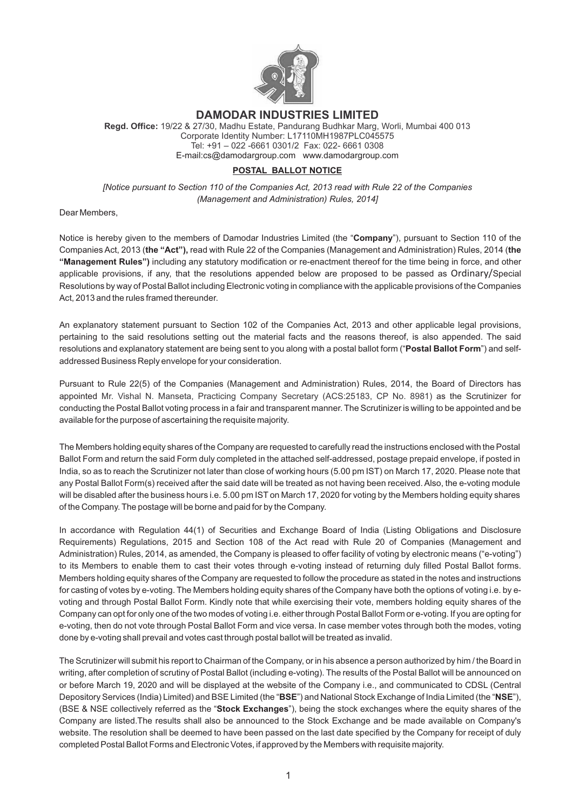

# **DAMODAR INDUSTRIES LIMITED**

**Regd. Office:** 19/22 & 27/30, Madhu Estate, Pandurang Budhkar Marg, Worli, Mumbai 400 013 Corporate Identity Number: L17110MH1987PLC045575 Tel: +91 – 022 -6661 0301/2 Fax: 022- 6661 0308 E-mail:cs@damodargroup.com www.damodargroup.com

# **POSTAL BALLOT NOTICE**

*[Notice pursuant to Section 110 of the Companies Act, 2013 read with Rule 22 of the Companies (Management and Administration) Rules, 2014]*

Dear Members,

Notice is hereby given to the members of Damodar Industries Limited (the "**Company**"), pursuant to Section 110 of the Companies Act, 2013 (**the "Act"),** read with Rule 22 of the Companies (Management and Administration) Rules, 2014 (**the "Management Rules")** including any statutory modification or re-enactment thereof for the time being in force, and other applicable provisions, if any, that the resolutions appended below are proposed to be passed as Ordinary/Special Resolutions by way of Postal Ballot including Electronic voting in compliance with the applicable provisions of the Companies Act, 2013 and the rules framed thereunder.

An explanatory statement pursuant to Section 102 of the Companies Act, 2013 and other applicable legal provisions, pertaining to the said resolutions setting out the material facts and the reasons thereof, is also appended. The said resolutions and explanatory statement are being sent to you along with a postal ballot form ("**Postal Ballot Form**") and selfaddressed Business Reply envelope for your consideration.

appointed Mr. Vishal N. Manseta, Practicing Company Secretary (ACS:25183, CP No. 8981) as the Scrutinizer for Pursuant to Rule 22(5) of the Companies (Management and Administration) Rules, 2014, the Board of Directors has conducting the Postal Ballot voting process in a fair and transparent manner. The Scrutinizer is willing to be appointed and be available for the purpose of ascertaining the requisite majority.

The Members holding equity shares of the Company are requested to carefully read the instructions enclosed with the Postal Ballot Form and return the said Form duly completed in the attached self-addressed, postage prepaid envelope, if posted in India, so as to reach the Scrutinizer not later than close of working hours (5.00 pm IST) on March 17, 2020. Please note that any Postal Ballot Form(s) received after the said date will be treated as not having been received. Also, the e-voting module will be disabled after the business hours i.e. 5.00 pm IST on March 17, 2020 for voting by the Members holding equity shares of the Company. The postage will be borne and paid for by the Company.

In accordance with Regulation 44(1) of Securities and Exchange Board of India (Listing Obligations and Disclosure Requirements) Regulations, 2015 and Section 108 of the Act read with Rule 20 of Companies (Management and Administration) Rules, 2014, as amended, the Company is pleased to offer facility of voting by electronic means ("e-voting") to its Members to enable them to cast their votes through e-voting instead of returning duly filled Postal Ballot forms. Members holding equity shares of the Company are requested to follow the procedure as stated in the notes and instructions for casting of votes by e-voting. The Members holding equity shares of the Company have both the options of voting i.e. by evoting and through Postal Ballot Form. Kindly note that while exercising their vote, members holding equity shares of the Company can opt for only one of the two modes of voting i.e. either through Postal Ballot Form or e-voting. If you are opting for e-voting, then do not vote through Postal Ballot Form and vice versa. In case member votes through both the modes, voting done by e-voting shall prevail and votes cast through postal ballot will be treated as invalid.

The Scrutinizer will submit his report to Chairman of the Company, or in his absence a person authorized by him / the Board in writing, after completion of scrutiny of Postal Ballot (including e-voting). The results of the Postal Ballot will be announced on or before March 19, 2020 and will be displayed at the website of the Company i.e., and communicated to CDSL (Central Depository Services (India) Limited) and BSE Limited (the "**BSE**") and National Stock Exchange of India Limited (the "**NSE**"), (BSE & NSE collectively referred as the "**Stock Exchanges**"), being the stock exchanges where the equity shares of the Company are listed.The results shall also be announced to the Stock Exchange and be made available on Company's website. The resolution shall be deemed to have been passed on the last date specified by the Company for receipt of duly completed Postal Ballot Forms and Electronic Votes, if approved by the Members with requisite majority.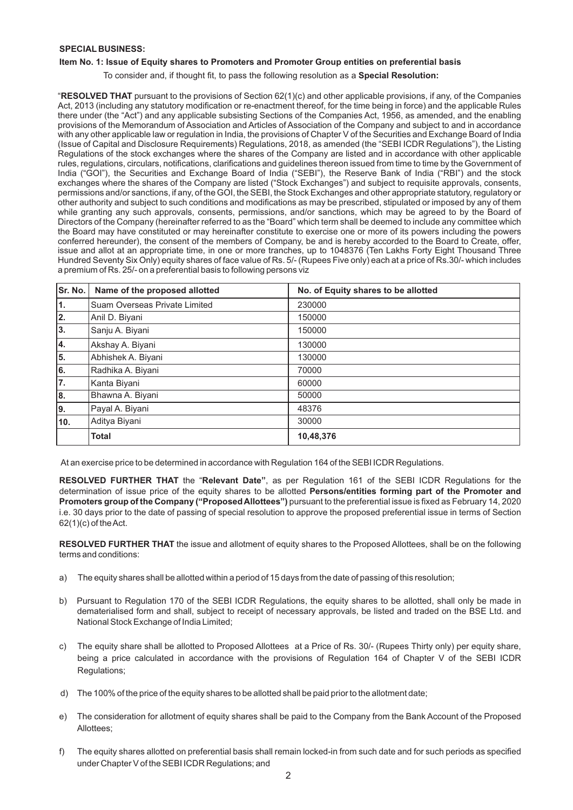# **SPECIAL BUSINESS:**

# **Item No. 1: Issue of Equity shares to Promoters and Promoter Group entities on preferential basis**

To consider and, if thought fit, to pass the following resolution as a **Special Resolution:**

"**RESOLVED THAT** pursuant to the provisions of Section 62(1)(c) and other applicable provisions, if any, of the Companies Act, 2013 (including any statutory modification or re-enactment thereof, for the time being in force) and the applicable Rules there under (the "Act") and any applicable subsisting Sections of the Companies Act, 1956, as amended, and the enabling provisions of the Memorandum of Association and Articles of Association of the Company and subject to and in accordance with any other applicable law or regulation in India, the provisions of Chapter V of the Securities and Exchange Board of India (Issue of Capital and Disclosure Requirements) Regulations, 2018, as amended (the "SEBI ICDR Regulations"), the Listing Regulations of the stock exchanges where the shares of the Company are listed and in accordance with other applicable rules, regulations, circulars, notifications, clarifications and guidelines thereon issued from time to time by the Government of India ("GOI"), the Securities and Exchange Board of India ("SEBI"), the Reserve Bank of India ("RBI") and the stock exchanges where the shares of the Company are listed ("Stock Exchanges") and subject to requisite approvals, consents, permissions and/or sanctions, if any, of the GOI, the SEBI, the Stock Exchanges and other appropriate statutory, regulatory or other authority and subject to such conditions and modifications as may be prescribed, stipulated or imposed by any of them while granting any such approvals, consents, permissions, and/or sanctions, which may be agreed to by the Board of Directors of the Company (hereinafter referred to as the "Board" which term shall be deemed to include any committee which the Board may have constituted or may hereinafter constitute to exercise one or more of its powers including the powers conferred hereunder), the consent of the members of Company, be and is hereby accorded to the Board to Create, offer, issue and allot at an appropriate time, in one or more tranches, up to 1048376 (Ten Lakhs Forty Eight Thousand Three Hundred Seventy Six Only) equity shares of face value of Rs. 5/- (Rupees Five only) each at a price of Rs.30/- which includes a premium of Rs. 25/- on a preferential basis to following persons viz

| Sr. No. | Name of the proposed allotted | No. of Equity shares to be allotted |
|---------|-------------------------------|-------------------------------------|
| 1.      | Suam Overseas Private Limited | 230000                              |
| 2.      | Anil D. Biyani                | 150000                              |
| 3.      | Sanju A. Biyani               | 150000                              |
| 4.      | Akshay A. Biyani              | 130000                              |
| 5.      | Abhishek A. Biyani            | 130000                              |
| 6.      | Radhika A. Biyani             | 70000                               |
| 7.      | Kanta Biyani                  | 60000                               |
| 8.      | Bhawna A. Biyani              | 50000                               |
| 9.      | Payal A. Biyani               | 48376                               |
| 10.     | Aditya Biyani                 | 30000                               |
|         | <b>Total</b>                  | 10,48,376                           |

At an exercise price to be determined in accordance with Regulation 164 of the SEBI ICDR Regulations.

**RESOLVED FURTHER THAT** the "**Relevant Date"**, as per Regulation 161 of the SEBI ICDR Regulations for the determination of issue price of the equity shares to be allotted **Persons/entities forming part of the Promoter and Promoters group of the Company ("Proposed Allottees")** pursuant to the preferential issue is fixed as February 14, 2020 i.e. 30 days prior to the date of passing of special resolution to approve the proposed preferential issue in terms of Section 62(1)(c) of the Act.

**RESOLVED FURTHER THAT** the issue and allotment of equity shares to the Proposed Allottees, shall be on the following terms and conditions:

- a) The equity shares shall be allotted within a period of 15 days from the date of passing of this resolution;
- b) Pursuant to Regulation 170 of the SEBI ICDR Regulations, the equity shares to be allotted, shall only be made in dematerialised form and shall, subject to receipt of necessary approvals, be listed and traded on the BSE Ltd. and National Stock Exchange of India Limited;
- c) The equity share shall be allotted to Proposed Allottees at a Price of Rs. 30/- (Rupees Thirty only) per equity share, being a price calculated in accordance with the provisions of Regulation 164 of Chapter V of the SEBI ICDR Regulations;
- d) The 100% of the price of the equity shares to be allotted shall be paid prior to the allotment date;
- e) The consideration for allotment of equity shares shall be paid to the Company from the Bank Account of the Proposed Allottees;
- f) The equity shares allotted on preferential basis shall remain locked-in from such date and for such periods as specified under Chapter V of the SEBI ICDR Regulations; and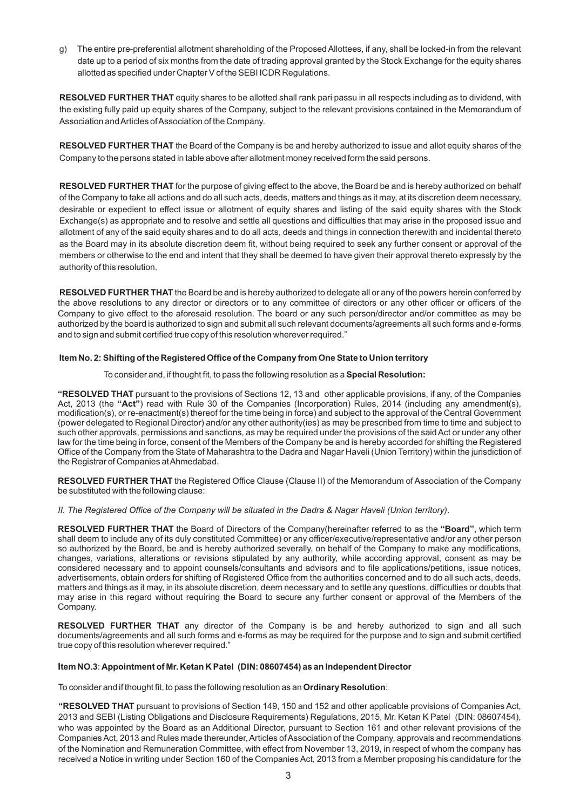g) The entire pre-preferential allotment shareholding of the Proposed Allottees, if any, shall be locked-in from the relevant date up to a period of six months from the date of trading approval granted by the Stock Exchange for the equity shares allotted as specified under Chapter V of the SEBI ICDR Regulations.

**RESOLVED FURTHER THAT** equity shares to be allotted shall rank pari passu in all respects including as to dividend, with the existing fully paid up equity shares of the Company, subject to the relevant provisions contained in the Memorandum of Association and Articles of Association of the Company.

**RESOLVED FURTHER THAT** the Board of the Company is be and hereby authorized to issue and allot equity shares of the Company to the persons stated in table above after allotment money received form the said persons.

**RESOLVED FURTHER THAT** for the purpose of giving effect to the above, the Board be and is hereby authorized on behalf of the Company to take all actions and do all such acts, deeds, matters and things as it may, at its discretion deem necessary, desirable or expedient to effect issue or allotment of equity shares and listing of the said equity shares with the Stock Exchange(s) as appropriate and to resolve and settle all questions and difficulties that may arise in the proposed issue and allotment of any of the said equity shares and to do all acts, deeds and things in connection therewith and incidental thereto as the Board may in its absolute discretion deem fit, without being required to seek any further consent or approval of the members or otherwise to the end and intent that they shall be deemed to have given their approval thereto expressly by the authority of this resolution.

**RESOLVED FURTHER THAT** the Board be and is hereby authorized to delegate all or any of the powers herein conferred by the above resolutions to any director or directors or to any committee of directors or any other officer or officers of the Company to give effect to the aforesaid resolution. The board or any such person/director and/or committee as may be authorized by the board is authorized to sign and submit all such relevant documents/agreements all such forms and e-forms and to sign and submit certified true copy of this resolution wherever required."

# **Shifting of the Registered Office of the Company from One State to Union territory Item No. 2:**

To consider and, if thought fit, to pass the following resolution as a **Special Resolution:**

**"RESOLVED THAT** pursuant to the provisions of Sections 12, 13 and other applicable provisions, if any, of the Companies Act, 2013 (the **"Act"**) read with Rule 30 of the Companies (Incorporation) Rules, 2014 (including any amendment(s), modification(s), or re-enactment(s) thereof for the time being in force) and subject to the approval of the Central Government (power delegated to Regional Director) and/or any other authority(ies) as may be prescribed from time to time and subject to such other approvals, permissions and sanctions, as may be required under the provisions of the said Act or under any other law for the time being in force, consent of the Members of the Company be and is hereby accorded for shifting the Registered Office of the Company from the State of Maharashtra to the Dadra and Nagar Haveli (Union Territory) within the jurisdiction of the Registrar of Companies at Ahmedabad.

**RESOLVED FURTHER THAT** the Registered Office Clause (Clause II) of the Memorandum of Association of the Company be substituted with the following clause:

*II. The Registered Office of the Company will be situated in the Dadra & Nagar Haveli (Union territory)*.

**RESOLVED FURTHER THAT** the Board of Directors of the Company(hereinafter referred to as the **"Board"**, which term shall deem to include any of its duly constituted Committee) or any officer/executive/representative and/or any other person so authorized by the Board, be and is hereby authorized severally, on behalf of the Company to make any modifications, changes, variations, alterations or revisions stipulated by any authority, while according approval, consent as may be considered necessary and to appoint counsels/consultants and advisors and to file applications/petitions, issue notices, advertisements, obtain orders for shifting of Registered Office from the authorities concerned and to do all such acts, deeds, matters and things as it may, in its absolute discretion, deem necessary and to settle any questions, difficulties or doubts that may arise in this regard without requiring the Board to secure any further consent or approval of the Members of the Company.

**RESOLVED FURTHER THAT** any director of the Company is be and hereby authorized to sign and all such documents/agreements and all such forms and e-forms as may be required for the purpose and to sign and submit certified true copy of this resolution wherever required."

## **Item NO.3**: **Appointment of Mr. Ketan K Patel (DIN: 08607454) as an Independent Director**

To consider and if thought fit, to pass the following resolution as an **Ordinary Resolution**:

**"RESOLVED THAT** pursuant to provisions of Section 149, 150 and 152 and other applicable provisions of Companies Act, 2013 and SEBI (Listing Obligations and Disclosure Requirements) Regulations, 2015, Mr. Ketan K Patel (DIN: 08607454), who was appointed by the Board as an Additional Director, pursuant to Section 161 and other relevant provisions of the Companies Act, 2013 and Rules made thereunder, Articles of Association of the Company, approvals and recommendations of the Nomination and Remuneration Committee, with effect from November 13, 2019, in respect of whom the company has received a Notice in writing under Section 160 of the Companies Act, 2013 from a Member proposing his candidature for the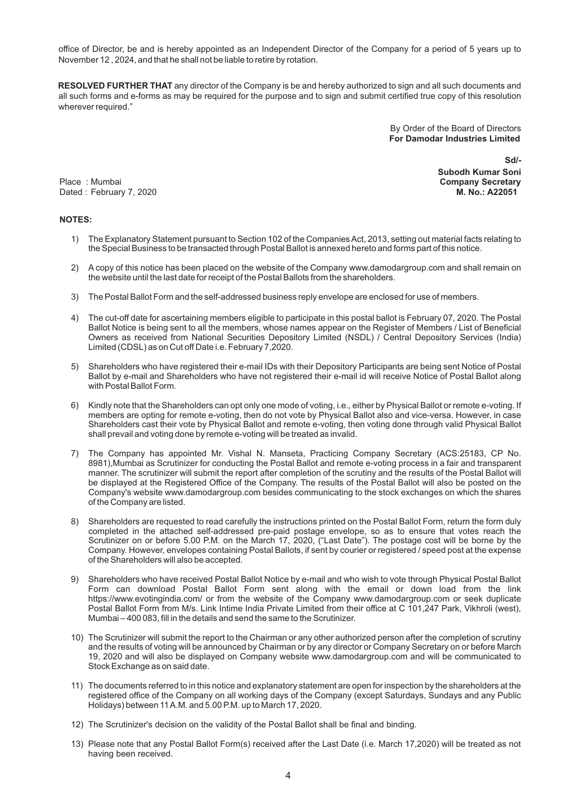office of Director, be and is hereby appointed as an Independent Director of the Company for a period of 5 years up to November 12 , 2024, and that he shall not be liable to retire by rotation.

**RESOLVED FURTHER THAT** any director of the Company is be and hereby authorized to sign and all such documents and all such forms and e-forms as may be required for the purpose and to sign and submit certified true copy of this resolution wherever required."

> By Order of the Board of Directors  **For Damodar Industries Limited**

Place : Mumbai **Company Secretary** Dated : February 7, 2020 **M. No.: A22051**

 **Sd/- Subodh Kumar Soni**

#### **NOTES:**

- 1) The Explanatory Statement pursuant to Section 102 of the Companies Act, 2013, setting out material facts relating to the Special Business to be transacted through Postal Ballot is annexed hereto and forms part of this notice.
- 2) A copy of this notice has been placed on the website of the Company www.damodargroup.com and shall remain on the website until the last date for receipt of the Postal Ballots from the shareholders.
- 3) The Postal Ballot Form and the self-addressed business reply envelope are enclosed for use of members.
- 4) The cut-off date for ascertaining members eligible to participate in this postal ballot is February 07, 2020. The Postal Ballot Notice is being sent to all the members, whose names appear on the Register of Members / List of Beneficial Owners as received from National Securities Depository Limited (NSDL) / Central Depository Services (India) Limited (CDSL) as on Cut off Date i.e. February 7,2020.
- 5) Shareholders who have registered their e-mail IDs with their Depository Participants are being sent Notice of Postal Ballot by e-mail and Shareholders who have not registered their e-mail id will receive Notice of Postal Ballot along with Postal Ballot Form.
- 6) Kindly note that the Shareholders can opt only one mode of voting, i.e., either by Physical Ballot or remote e-voting. If members are opting for remote e-voting, then do not vote by Physical Ballot also and vice-versa. However, in case Shareholders cast their vote by Physical Ballot and remote e-voting, then voting done through valid Physical Ballot shall prevail and voting done by remote e-voting will be treated as invalid.
- 7) The Company has appointed Mr. Vishal N. Manseta, Practicing Company Secretary (ACS:25183, CP No. 8981),Mumbai as Scrutinizer for conducting the Postal Ballot and remote e-voting process in a fair and transparent manner. The scrutinizer will submit the report after completion of the scrutiny and the results of the Postal Ballot will be displayed at the Registered Office of the Company. The results of the Postal Ballot will also be posted on the Company's website www.damodargroup.com besides communicating to the stock exchanges on which the shares of the Company are listed.
- 8) Shareholders are requested to read carefully the instructions printed on the Postal Ballot Form, return the form duly completed in the attached self-addressed pre-paid postage envelope, so as to ensure that votes reach the Scrutinizer on or before 5.00 P.M. on the March 17, 2020, ("Last Date"). The postage cost will be borne by the Company. However, envelopes containing Postal Ballots, if sent by courier or registered / speed post at the expense of the Shareholders will also be accepted.
- 9) Shareholders who have received Postal Ballot Notice by e-mail and who wish to vote through Physical Postal Ballot Form can download Postal Ballot Form sent along with the email or down load from the link https://www.evotingindia.com/ or from the website of the Company www.damodargroup.com or seek duplicate Postal Ballot Form from M/s. Link Intime India Private Limited from their office at C 101,247 Park, Vikhroli (west), Mumbai – 400 083, fill in the details and send the same to the Scrutinizer.
- 10) The Scrutinizer will submit the report to the Chairman or any other authorized person after the completion of scrutiny and the results of voting will be announced by Chairman or by any director or Company Secretary on or before March 19, 2020 and will also be displayed on Company website www.damodargroup.com and will be communicated to Stock Exchange as on said date.
- 11) The documents referred to in this notice and explanatory statement are open for inspection by the shareholders at the registered office of the Company on all working days of the Company (except Saturdays, Sundays and any Public Holidays) between 11 A.M. and 5.00 P.M. up to March 17, 2020.
- 12) The Scrutinizer's decision on the validity of the Postal Ballot shall be final and binding.
- 13) Please note that any Postal Ballot Form(s) received after the Last Date (i.e. March 17,2020) will be treated as not having been received.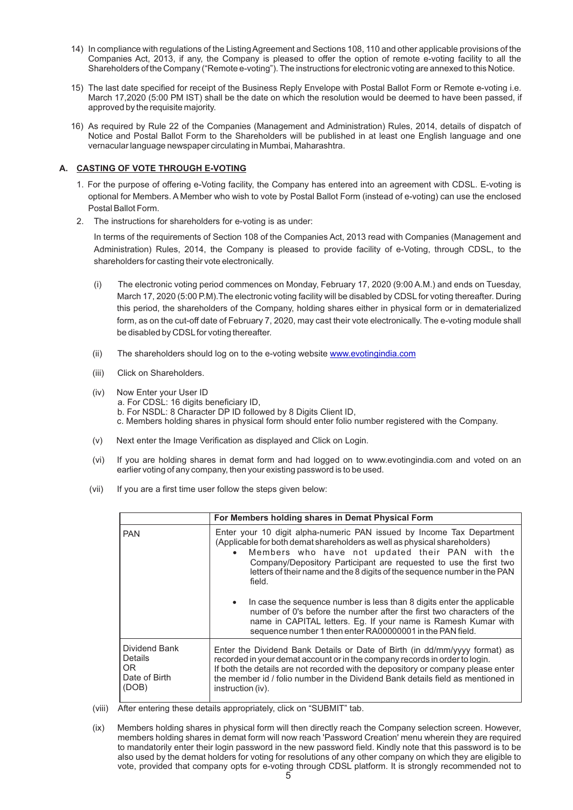- 14) In compliance with regulations of the Listing Agreement and Sections 108, 110 and other applicable provisions of the Companies Act, 2013, if any, the Company is pleased to offer the option of remote e-voting facility to all the Shareholders of the Company ("Remote e-voting"). The instructions for electronic voting are annexed to this Notice.
- 15) The last date specified for receipt of the Business Reply Envelope with Postal Ballot Form or Remote e-voting i.e. March 17,2020 (5:00 PM IST) shall be the date on which the resolution would be deemed to have been passed, if approved by the requisite majority.
- 16) As required by Rule 22 of the Companies (Management and Administration) Rules, 2014, details of dispatch of Notice and Postal Ballot Form to the Shareholders will be published in at least one English language and one vernacular language newspaper circulating in Mumbai, Maharashtra.

# **A. CASTING OF VOTE THROUGH E-VOTING**

- 1. For the purpose of offering e-Voting facility, the Company has entered into an agreement with CDSL. E-voting is optional for Members. A Member who wish to vote by Postal Ballot Form (instead of e-voting) can use the enclosed Postal Ballot Form.
- The instructions for shareholders for e-voting is as under: 2.

In terms of the requirements of Section 108 of the Companies Act, 2013 read with Companies (Management and Administration) Rules, 2014, the Company is pleased to provide facility of e-Voting, through CDSL, to the shareholders for casting their vote electronically.

- (i) The electronic voting period commences on Monday, February 17, 2020 (9:00 A.M.) and ends on Tuesday, March 17, 2020 (5:00 P.M).The electronic voting facility will be disabled by CDSL for voting thereafter. During this period, the shareholders of the Company, holding shares either in physical form or in dematerialized form, as on the cut-off date of February 7, 2020, may cast their vote electronically. The e-voting module shall be disabled by CDSLfor voting thereafter.
- (ii) The shareholders should log on to the e-voting website **www.evotingindia.com**
- (iii) Click on Shareholders.
- (iv) Now Enter your User ID a. For CDSL: 16 digits beneficiary ID, b. For NSDL: 8 Character DP ID followed by 8 Digits Client ID, c. Members holding shares in physical form should enter folio number registered with the Company.
- (v) Next enter the Image Verification as displayed and Click on Login.
- (vi) If you are holding shares in demat form and had logged on to www.evotingindia.com and voted on an earlier voting of any company, then your existing password is to be used.
- (vii) If you are a first time user follow the steps given below:

|                                                           | For Members holding shares in Demat Physical Form                                                                                                                                                                                                                                                                                                                                                                                                                                                                                                                                                                                                  |  |
|-----------------------------------------------------------|----------------------------------------------------------------------------------------------------------------------------------------------------------------------------------------------------------------------------------------------------------------------------------------------------------------------------------------------------------------------------------------------------------------------------------------------------------------------------------------------------------------------------------------------------------------------------------------------------------------------------------------------------|--|
| <b>PAN</b>                                                | Enter your 10 digit alpha-numeric PAN issued by Income Tax Department<br>(Applicable for both demat shareholders as well as physical shareholders)<br>Members who have not updated their PAN with the<br>Company/Depository Participant are requested to use the first two<br>letters of their name and the 8 digits of the sequence number in the PAN<br>field.<br>In case the sequence number is less than 8 digits enter the applicable<br>number of 0's before the number after the first two characters of the<br>name in CAPITAL letters. Eq. If your name is Ramesh Kumar with<br>sequence number 1 then enter RA00000001 in the PAN field. |  |
| Dividend Bank<br>Details<br>OR.<br>Date of Birth<br>(DOB) | Enter the Dividend Bank Details or Date of Birth (in dd/mm/yyyy format) as<br>recorded in your demat account or in the company records in order to login.<br>If both the details are not recorded with the depository or company please enter<br>the member id / folio number in the Dividend Bank details field as mentioned in<br>instruction (iv).                                                                                                                                                                                                                                                                                              |  |

- (viii) After entering these details appropriately, click on "SUBMIT" tab.
- (ix) Members holding shares in physical form will then directly reach the Company selection screen. However, members holding shares in demat form will now reach 'Password Creation' menu wherein they are required to mandatorily enter their login password in the new password field. Kindly note that this password is to be also used by the demat holders for voting for resolutions of any other company on which they are eligible to vote, provided that company opts for e-voting through CDSL platform. It is strongly recommended not to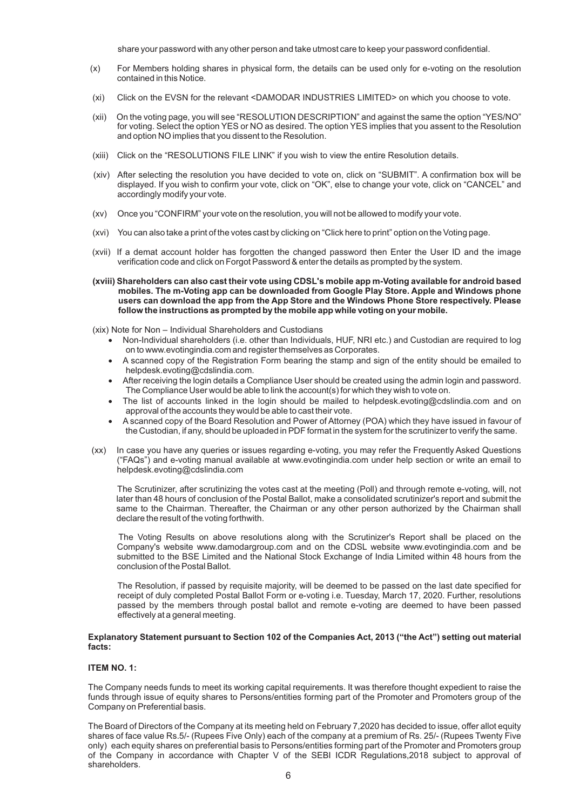share your password with any other person and take utmost care to keep your password confidential.

- (x) For Members holding shares in physical form, the details can be used only for e-voting on the resolution contained in this Notice.
- (xi) Click on the EVSN for the relevant <DAMODAR INDUSTRIES LIMITED> on which you choose to vote.
- (xii) On the voting page, you will see "RESOLUTION DESCRIPTION" and against the same the option "YES/NO" for voting. Select the option YES or NO as desired. The option YES implies that you assent to the Resolution and option NO implies that you dissent to the Resolution.
- (xiii) Click on the "RESOLUTIONS FILE LINK" if you wish to view the entire Resolution details.
- (xiv) After selecting the resolution you have decided to vote on, click on "SUBMIT". A confirmation box will be displayed. If you wish to confirm your vote, click on "OK", else to change your vote, click on "CANCEL" and accordingly modify your vote.
- (xv) Once you "CONFIRM" your vote on the resolution, you will not be allowed to modify your vote.
- (xvi) You can also take a print of the votes cast by clicking on "Click here to print" option on the Voting page.
- (xvii) If a demat account holder has forgotten the changed password then Enter the User ID and the image verification code and click on Forgot Password & enter the details as prompted by the system.
- **(xviii) Shareholders can also cast their vote using CDSL's mobile app m-Voting available for android based mobiles. The m-Voting app can be downloaded from Google Play Store. Apple and Windows phone users can download the app from the App Store and the Windows Phone Store respectively. Please follow the instructions as prompted by the mobile app while voting on your mobile.**

(xix) Note for Non – Individual Shareholders and Custodians

- · Non-Individual shareholders (i.e. other than Individuals, HUF, NRI etc.) and Custodian are required to log on to www.evotingindia.com and register themselves as Corporates.
- · A scanned copy of the Registration Form bearing the stamp and sign of the entity should be emailed to helpdesk.evoting@cdslindia.com.
- · After receiving the login details a Compliance User should be created using the admin login and password. The Compliance User would be able to link the account(s) for which they wish to vote on.
- · The list of accounts linked in the login should be mailed to helpdesk.evoting@cdslindia.com and on approval of the accounts they would be able to cast their vote.
- · A scanned copy of the Board Resolution and Power of Attorney (POA) which they have issued in favour of the Custodian, if any, should be uploaded in PDF format in the system for the scrutinizer to verify the same.
- (xx) In case you have any queries or issues regarding e-voting, you may refer the Frequently Asked Questions ("FAQs") and e-voting manual available at www.evotingindia.com under help section or write an email to helpdesk.evoting@cdslindia.com

The Scrutinizer, after scrutinizing the votes cast at the meeting (Poll) and through remote e-voting, will, not later than 48 hours of conclusion of the Postal Ballot, make a consolidated scrutinizer's report and submit the same to the Chairman. Thereafter, the Chairman or any other person authorized by the Chairman shall declare the result of the voting forthwith.

The Voting Results on above resolutions along with the Scrutinizer's Report shall be placed on the Company's website www.damodargroup.com and on the CDSL website www.evotingindia.com and be submitted to the BSE Limited and the National Stock Exchange of India Limited within 48 hours from the conclusion of the Postal Ballot.

The Resolution, if passed by requisite majority, will be deemed to be passed on the last date specified for receipt of duly completed Postal Ballot Form or e-voting i.e. Tuesday, March 17, 2020. Further, resolutions passed by the members through postal ballot and remote e-voting are deemed to have been passed effectively at a general meeting.

#### **Explanatory Statement pursuant to Section 102 of the Companies Act, 2013 ("the Act") setting out material facts:**

# **ITEM NO. 1:**

The Company needs funds to meet its working capital requirements. It was therefore thought expedient to raise the funds through issue of equity shares to Persons/entities forming part of the Promoter and Promoters group of the Company on Preferential basis.

The Board of Directors of the Company at its meeting held on February 7,2020 has decided to issue, offer allot equity shares of face value Rs.5/- (Rupees Five Only) each of the company at a premium of Rs. 25/- (Rupees Twenty Five only) each equity shares on preferential basis to Persons/entities forming part of the Promoter and Promoters group of the Company in accordance with Chapter V of the SEBI ICDR Regulations,2018 subject to approval of shareholders.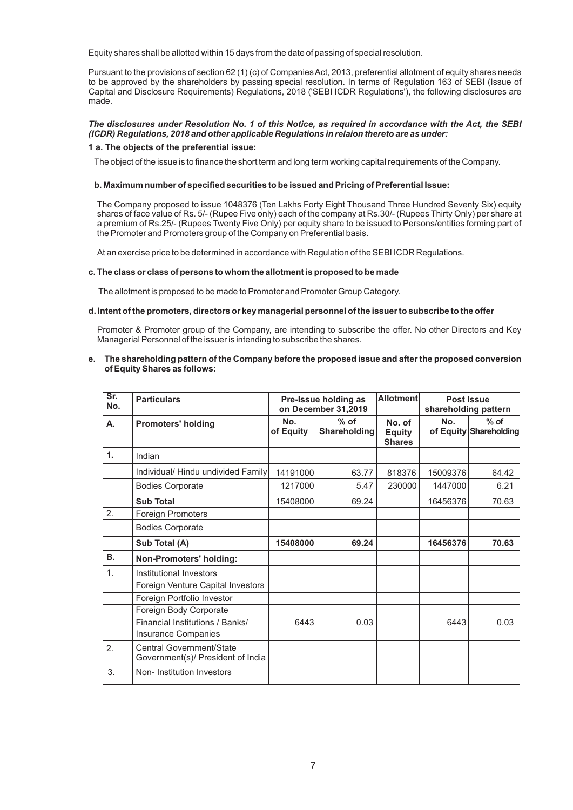Equity shares shall be allotted within 15 days from the date of passing of special resolution.

Pursuant to the provisions of section 62 (1) (c) of Companies Act, 2013, preferential allotment of equity shares needs to be approved by the shareholders by passing special resolution. In terms of Regulation 163 of SEBI (Issue of Capital and Disclosure Requirements) Regulations, 2018 ('SEBI ICDR Regulations'), the following disclosures are made.

### *The disclosures under Resolution No. 1 of this Notice, as required in accordance with the Act, the SEBI (ICDR) Regulations, 2018 and other applicable Regulations in relaion thereto are as under:*

#### **1 a. The objects of the preferential issue:**

The object of the issue is to finance the short term and long term working capital requirements of the Company.

#### **b. Maximum number of specified securities to be issued and Pricing of Preferential Issue:**

The Company proposed to issue 1048376 (Ten Lakhs Forty Eight Thousand Three Hundred Seventy Six) equity shares of face value of Rs. 5/- (Rupee Five only) each of the company at Rs.30/- (Rupees Thirty Only) per share at a premium of Rs.25/- (Rupees Twenty Five Only) per equity share to be issued to Persons/entities forming part of the Promoter and Promoters group of the Company on Preferential basis.

At an exercise price to be determined in accordance with Regulation of the SEBI ICDR Regulations.

#### **c. The class or class of persons to whom the allotment is proposed to be made**

The allotment is proposed to be made to Promoter and Promoter Group Category.

## **d. Intent of the promoters, directors or key managerial personnel of the issuer to subscribe to the offer**

Promoter & Promoter group of the Company, are intending to subscribe the offer. No other Directors and Key Managerial Personnel of the issuer is intending to subscribe the shares.

#### **e. The shareholding pattern of the Company before the proposed issue and after the proposed conversion of Equity Shares as follows:**

| Sr.<br>No.     | <b>Particulars</b>                                                   | Pre-Issue holding as<br>on December 31,2019 |                               | <b>Allotment</b>                         | Post Issue | shareholding pattern             |
|----------------|----------------------------------------------------------------------|---------------------------------------------|-------------------------------|------------------------------------------|------------|----------------------------------|
| Α.             | <b>Promoters' holding</b>                                            | No.<br>of Equity                            | $%$ of<br><b>Shareholding</b> | No. of<br><b>Equity</b><br><b>Shares</b> | No.        | $%$ of<br>of Equity Shareholding |
| $\mathbf{1}$ . | Indian                                                               |                                             |                               |                                          |            |                                  |
|                | Individual/ Hindu undivided Family                                   | 14191000                                    | 63.77                         | 818376                                   | 15009376   | 64.42                            |
|                | <b>Bodies Corporate</b>                                              | 1217000                                     | 5.47                          | 230000                                   | 1447000    | 6.21                             |
|                | <b>Sub Total</b>                                                     | 15408000                                    | 69.24                         |                                          | 16456376   | 70.63                            |
| 2.             | <b>Foreign Promoters</b>                                             |                                             |                               |                                          |            |                                  |
|                | <b>Bodies Corporate</b>                                              |                                             |                               |                                          |            |                                  |
|                | Sub Total (A)                                                        | 15408000                                    | 69.24                         |                                          | 16456376   | 70.63                            |
| <b>B.</b>      | <b>Non-Promoters' holding:</b>                                       |                                             |                               |                                          |            |                                  |
| 1.             | Institutional Investors                                              |                                             |                               |                                          |            |                                  |
|                | Foreign Venture Capital Investors                                    |                                             |                               |                                          |            |                                  |
|                | Foreign Portfolio Investor                                           |                                             |                               |                                          |            |                                  |
|                | Foreign Body Corporate                                               |                                             |                               |                                          |            |                                  |
|                | Financial Institutions / Banks/                                      | 6443                                        | 0.03                          |                                          | 6443       | 0.03                             |
|                | <b>Insurance Companies</b>                                           |                                             |                               |                                          |            |                                  |
| 2.             | <b>Central Government/State</b><br>Government(s)/ President of India |                                             |                               |                                          |            |                                  |
| 3.             | Non-Institution Investors                                            |                                             |                               |                                          |            |                                  |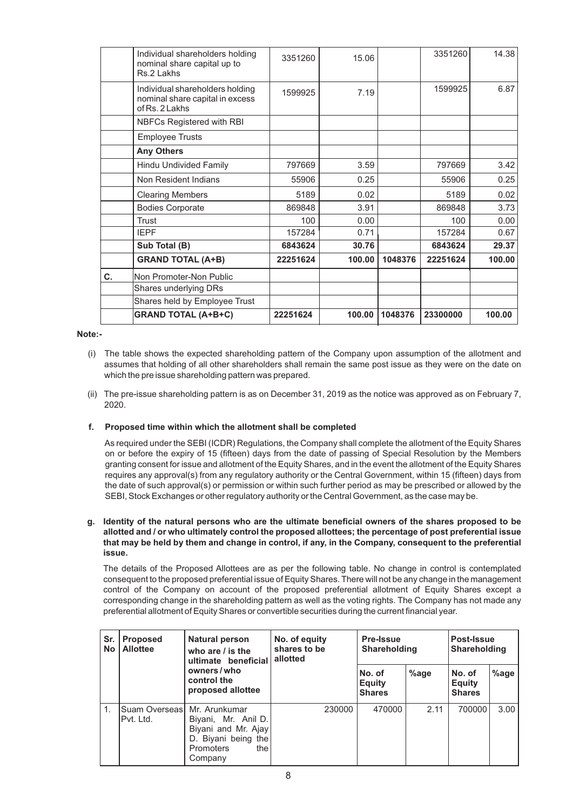|    | Individual shareholders holding<br>nominal share capital up to<br>Rs.2 Lakhs         | 3351260  | 15.06  |         | 3351260  | 14.38  |
|----|--------------------------------------------------------------------------------------|----------|--------|---------|----------|--------|
|    | Individual shareholders holding<br>nominal share capital in excess<br>of Rs. 2 Lakhs | 1599925  | 7.19   |         | 1599925  | 6.87   |
|    | NBFCs Registered with RBI                                                            |          |        |         |          |        |
|    | <b>Employee Trusts</b>                                                               |          |        |         |          |        |
|    | <b>Any Others</b>                                                                    |          |        |         |          |        |
|    | Hindu Undivided Family                                                               | 797669   | 3.59   |         | 797669   | 3.42   |
|    | Non Resident Indians                                                                 | 55906    | 0.25   |         | 55906    | 0.25   |
|    | <b>Clearing Members</b>                                                              | 5189     | 0.02   |         | 5189     | 0.02   |
|    | <b>Bodies Corporate</b>                                                              | 869848   | 3.91   |         | 869848   | 3.73   |
|    | Trust                                                                                | 100      | 0.00   |         | 100      | 0.00   |
|    | <b>IEPF</b>                                                                          | 157284   | 0.71   |         | 157284   | 0.67   |
|    | Sub Total (B)                                                                        | 6843624  | 30.76  |         | 6843624  | 29.37  |
|    | <b>GRAND TOTAL (A+B)</b>                                                             | 22251624 | 100.00 | 1048376 | 22251624 | 100.00 |
| C. | Non Promoter-Non Public                                                              |          |        |         |          |        |
|    | Shares underlying DRs                                                                |          |        |         |          |        |
|    | Shares held by Employee Trust                                                        |          |        |         |          |        |
|    | <b>GRAND TOTAL (A+B+C)</b>                                                           | 22251624 | 100.00 | 1048376 | 23300000 | 100.00 |

# **Note:-**

- (i) The table shows the expected shareholding pattern of the Company upon assumption of the allotment and assumes that holding of all other shareholders shall remain the same post issue as they were on the date on which the pre issue shareholding pattern was prepared.
- (ii) The pre-issue shareholding pattern is as on December 31, 2019 as the notice was approved as on February 7, 2020.

#### **f. Proposed time within which the allotment shall be completed**

As required under the SEBI (ICDR) Regulations, the Company shall complete the allotment of the Equity Shares on or before the expiry of 15 (fifteen) days from the date of passing of Special Resolution by the Members granting consent for issue and allotment of the Equity Shares, and in the event the allotment of the Equity Shares requires any approval(s) from any regulatory authority or the Central Government, within 15 (fifteen) days from the date of such approval(s) or permission or within such further period as may be prescribed or allowed by the SEBI, Stock Exchanges or other regulatory authority or the Central Government, as the case may be.

# **g. Identity of the natural persons who are the ultimate beneficial owners of the shares proposed to be allotted and / or who ultimately control the proposed allottees; the percentage of post preferential issue that may be held by them and change in control, if any, in the Company, consequent to the preferential issue.**

The details of the Proposed Allottees are as per the following table. No change in control is contemplated consequent to the proposed preferential issue of Equity Shares. There will not be any change in the management control of the Company on account of the proposed preferential allotment of Equity Shares except a corresponding change in the shareholding pattern as well as the voting rights. The Company has not made any preferential allotment of Equity Shares or convertible securities during the current financial year.

| Sr.<br><b>No</b> | <b>Natural person</b><br><b>Proposed</b><br><b>Allottee</b><br>who are $\ell$ is the<br>ultimate beneficial | No. of equity<br>shares to be<br>allotted                                                        | <b>Pre-Issue</b><br>Shareholding |                                          | Post-Issue<br><b>Shareholding</b> |                                          |      |
|------------------|-------------------------------------------------------------------------------------------------------------|--------------------------------------------------------------------------------------------------|----------------------------------|------------------------------------------|-----------------------------------|------------------------------------------|------|
|                  |                                                                                                             | owners/who<br>control the<br>proposed allottee                                                   |                                  | No. of<br><b>Equity</b><br><b>Shares</b> | $%$ age                           | No. of<br><b>Equity</b><br><b>Shares</b> | %age |
| 1.               | ISuam OverseasI Mr. Arunkumar<br>IPvt. Ltd.                                                                 | Biyani, Mr. Anil D.<br>Biyani and Mr. Ajay<br>D. Biyani being the<br>the<br>Promoters<br>Company | 230000                           | 470000                                   | 2.11                              | 700000                                   | 3.00 |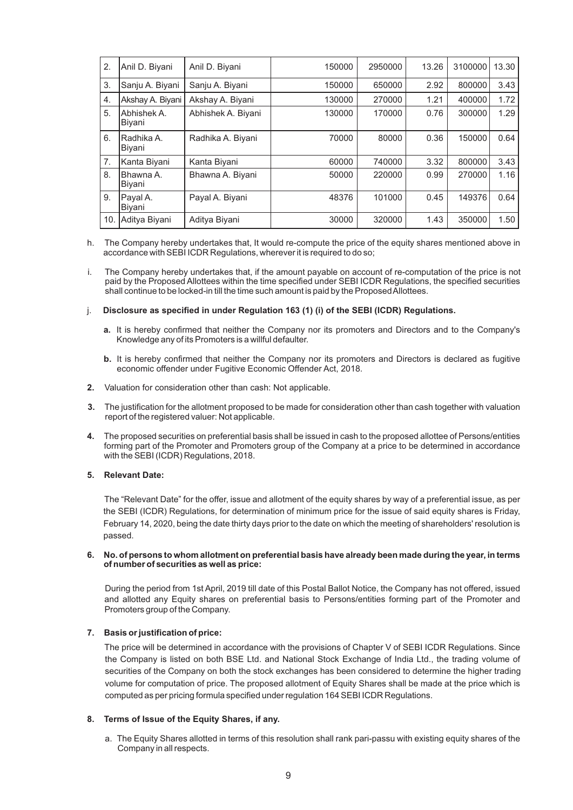| 2.  | Anil D. Biyani        | Anil D. Biyani     | 150000 | 2950000 | 13.26 | 3100000 | 13.30 |
|-----|-----------------------|--------------------|--------|---------|-------|---------|-------|
| 3.  | Sanju A. Biyani       | Sanju A. Biyani    | 150000 | 650000  | 2.92  | 800000  | 3.43  |
| 4.  | Akshay A. Biyani      | Akshay A. Biyani   | 130000 | 270000  | 1.21  | 400000  | 1.72  |
| 5.  | Abhishek A.<br>Biyani | Abhishek A. Biyani | 130000 | 170000  | 0.76  | 300000  | 1.29  |
| 6.  | Radhika A<br>Biyani   | Radhika A. Biyani  | 70000  | 80000   | 0.36  | 150000  | 0.64  |
| 7.  | Kanta Biyani          | Kanta Biyani       | 60000  | 740000  | 3.32  | 800000  | 3.43  |
| 8.  | Bhawna A.<br>Biyani   | Bhawna A. Biyani   | 50000  | 220000  | 0.99  | 270000  | 1.16  |
| 9.  | Payal A.<br>Biyani    | Payal A. Biyani    | 48376  | 101000  | 0.45  | 149376  | 0.64  |
| 10. | Aditya Biyani         | Aditya Biyani      | 30000  | 320000  | 1.43  | 350000  | 1.50  |

- h. The Company hereby undertakes that, It would re-compute the price of the equity shares mentioned above in accordance with SEBI ICDR Regulations, wherever it is required to do so;
- i. The Company hereby undertakes that, if the amount payable on account of re-computation of the price is not paid by the Proposed Allottees within the time specified under SEBI ICDR Regulations, the specified securities shall continue to be locked-in till the time such amount is paid by the Proposed Allottees.

#### j. **Disclosure as specified in under Regulation 163 (1) (i) of the SEBI (ICDR) Regulations.**

- **a.** It is hereby confirmed that neither the Company nor its promoters and Directors and to the Company's Knowledge any of its Promoters is a willful defaulter.
- **b.** It is hereby confirmed that neither the Company nor its promoters and Directors is declared as fugitive economic offender under Fugitive Economic Offender Act, 2018.
- **2.** Valuation for consideration other than cash: Not applicable.
- **3.** The justification for the allotment proposed to be made for consideration other than cash together with valuation report of the registered valuer: Not applicable.
- **4.** The proposed securities on preferential basis shall be issued in cash to the proposed allottee of Persons/entities forming part of the Promoter and Promoters group of the Company at a price to be determined in accordance with the SEBI (ICDR) Regulations, 2018.

#### **5. Relevant Date:**

The "Relevant Date" for the offer, issue and allotment of the equity shares by way of a preferential issue, as per the SEBI (ICDR) Regulations, for determination of minimum price for the issue of said equity shares is Friday, February 14, 2020, being the date thirty days prior to the date on which the meeting of shareholders' resolution is passed.

# **6. No. of persons to whom allotment on preferential basis have already been made during the year, in terms of number of securities as well as price:**

and allotted any Equity shares on preferential basis to Persons/entities forming part of the Promoter and Promoters group of the Company . During the period from 1st April, 2019 till date of this Postal Ballot Notice, the Company has not offered, issued

## **7. Basis or justification of price:**

The price will be determined in accordance with the provisions of Chapter V of SEBI ICDR Regulations. Since the Company is listed on both BSE Ltd. and National Stock Exchange of India Ltd., the trading volume of securities of the Company on both the stock exchanges has been considered to determine the higher trading volume for computation of price. The proposed allotment of Equity Shares shall be made at the price which is computed as per pricing formula specified under regulation 164 SEBI ICDR Regulations.

# **8. Terms of Issue of the Equity Shares, if any.**

a. The Equity Shares allotted in terms of this resolution shall rank pari-passu with existing equity shares of the Company in all respects.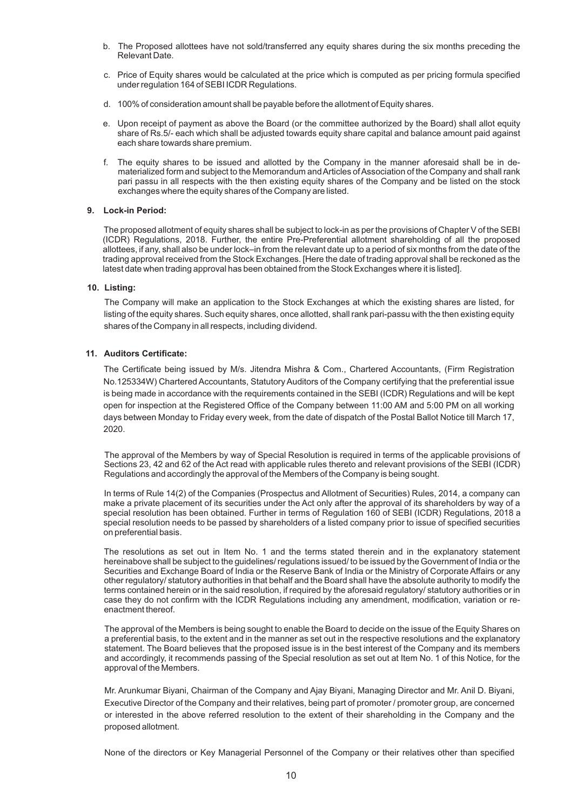- b. The Proposed allottees have not sold/transferred any equity shares during the six months preceding the Relevant Date.
- c. Price of Equity shares would be calculated at the price which is computed as per pricing formula specified under regulation 164 of SEBI ICDR Regulations.
- d. 100% of consideration amount shall be payable before the allotment of Equity shares.
- e. Upon receipt of payment as above the Board (or the committee authorized by the Board) shall allot equity share of Rs.5/- each which shall be adjusted towards equity share capital and balance amount paid against each share towards share premium.
- f. The equity shares to be issued and allotted by the Company in the manner aforesaid shall be in dematerialized form and subject to the Memorandum and Articles of Association of the Company and shall rank pari passu in all respects with the then existing equity shares of the Company and be listed on the stock exchanges where the equity shares of the Company are listed.

# **9. Lock-in Period:**

The proposed allotment of equity shares shall be subject to lock-in as per the provisions of Chapter V of the SEBI (ICDR) Regulations, 2018. Further, the entire Pre-Preferential allotment shareholding of all the proposed allottees, if any, shall also be under lock–in from the relevant date up to a period of six months from the date of the trading approval received from the Stock Exchanges. [Here the date of trading approval shall be reckoned as the latest date when trading approval has been obtained from the Stock Exchanges where it is listed].

# **10. Listing:**

The Company will make an application to the Stock Exchanges at which the existing shares are listed, for listing of the equity shares. Such equity shares, once allotted, shall rank pari-passu with the then existing equity shares of the Company in all respects, including dividend.

# **11. Auditors Certificate:**

The Certificate being issued by M/s. Jitendra Mishra & Com., Chartered Accountants, (Firm Registration No.125334W) Chartered Accountants, Statutory Auditors of the Company certifying that the preferential issue is being made in accordance with the requirements contained in the SEBI (ICDR) Regulations and will be kept open for inspection at the Registered Office of the Company between 11:00 AM and 5:00 PM on all working days between Monday to Friday every week, from the date of dispatch of the Postal Ballot Notice till March 17, 2020.

The approval of the Members by way of Special Resolution is required in terms of the applicable provisions of Sections 23, 42 and 62 of the Act read with applicable rules thereto and relevant provisions of the SEBI (ICDR) Regulations and accordingly the approval of the Members of the Company is being sought.

In terms of Rule 14(2) of the Companies (Prospectus and Allotment of Securities) Rules, 2014, a company can make a private placement of its securities under the Act only after the approval of its shareholders by way of a special resolution has been obtained. Further in terms of Regulation 160 of SEBI (ICDR) Regulations, 2018 a special resolution needs to be passed by shareholders of a listed company prior to issue of specified securities on preferential basis.

The resolutions as set out in Item No. 1 and the terms stated therein and in the explanatory statement hereinabove shall be subject to the guidelines/ regulations issued/ to be issued by the Government of India or the Securities and Exchange Board of India or the Reserve Bank of India or the Ministry of Corporate Affairs or any other regulatory/ statutory authorities in that behalf and the Board shall have the absolute authority to modify the terms contained herein or in the said resolution, if required by the aforesaid regulatory/ statutory authorities or in case they do not confirm with the ICDR Regulations including any amendment, modification, variation or reenactment thereof.

The approval of the Members is being sought to enable the Board to decide on the issue of the Equity Shares on a preferential basis, to the extent and in the manner as set out in the respective resolutions and the explanatory statement. The Board believes that the proposed issue is in the best interest of the Company and its members and accordingly, it recommends passing of the Special resolution as set out at Item No. 1 of this Notice, for the approval of the Members.

Mr. Arunkumar Biyani, Chairman of the Company and Ajay Biyani, Managing Director and Mr. Anil D. Biyani, Executive Director of the Company and their relatives, being part of promoter / promoter group, are concerned or interested in the above referred resolution to the extent of their shareholding in the Company and the proposed allotment.

None of the directors or Key Managerial Personnel of the Company or their relatives other than specified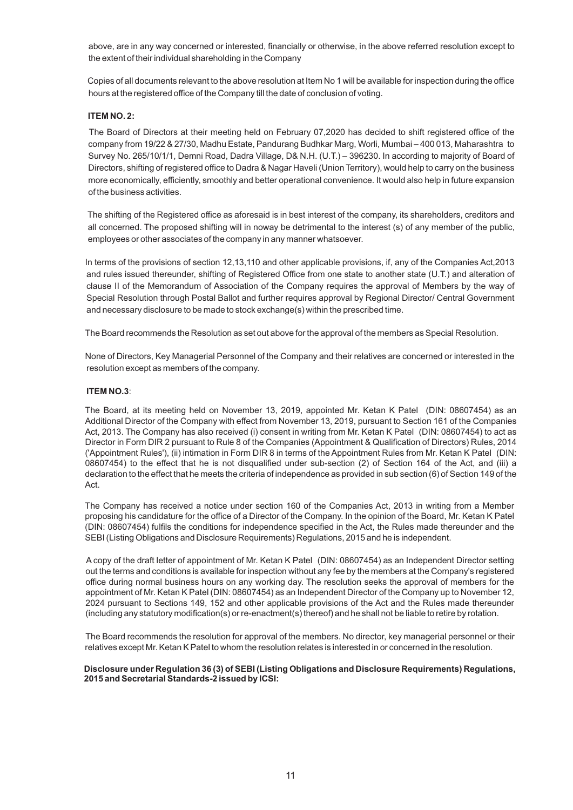above, are in any way concerned or interested, financially or otherwise, in the above referred resolution except to the extent of their individual shareholding in the Company

Copies of all documents relevant to the above resolution at Item No 1 will be available for inspection during the office hours at the registered office of the Company till the date of conclusion of voting.

## **ITEM NO. 2:**

The Board of Directors at their meeting held on February 07,2020 has decided to shift registered office of the company from 19/22 & 27/30, Madhu Estate, Pandurang Budhkar Marg, Worli, Mumbai – 400 013, Maharashtra to Survey No. 265/10/1/1, Demni Road, Dadra Village, D& N.H. (U.T.) – 396230. In according to majority of Board of Directors, shifting of registered office to Dadra & Nagar Haveli (Union Territory), would help to carry on the business more economically, efficiently, smoothly and better operational convenience. It would also help in future expansion of the business activities.

The shifting of the Registered office as aforesaid is in best interest of the company, its shareholders, creditors and all concerned. The proposed shifting will in noway be detrimental to the interest (s) of any member of the public, employees or other associates of the company in any manner whatsoever.

In terms of the provisions of section 12,13,110 and other applicable provisions, if, any of the Companies Act,2013 and rules issued thereunder, shifting of Registered Office from one state to another state (U.T.) and alteration of clause II of the Memorandum of Association of the Company requires the approval of Members by the way of Special Resolution through Postal Ballot and further requires approval by Regional Director/ Central Government and necessary disclosure to be made to stock exchange(s) within the prescribed time.

The Board recommends the Resolution as set out above for the approval of the members as Special Resolution.

None of Directors, Key Managerial Personnel of the Company and their relatives are concerned or interested in the resolution except as members of the company.

# **ITEM NO.3**:

The Board, at its meeting held on November 13, 2019, appointed Mr. Ketan K Patel (DIN: 08607454) as an Additional Director of the Company with effect from November 13, 2019, pursuant to Section 161 of the Companies Act, 2013. The Company has also received (i) consent in writing from Mr. Ketan K Patel (DIN: 08607454) to act as Director in Form DIR 2 pursuant to Rule 8 of the Companies (Appointment & Qualification of Directors) Rules, 2014 ('Appointment Rules'), (ii) intimation in Form DIR 8 in terms of the Appointment Rules from Mr. Ketan K Patel (DIN: 08607454) to the effect that he is not disqualified under sub-section (2) of Section 164 of the Act, and (iii) a declaration to the effect that he meets the criteria of independence as provided in sub section (6) of Section 149 of the Act.

The Company has received a notice under section 160 of the Companies Act, 2013 in writing from a Member proposing his candidature for the office of a Director of the Company. In the opinion of the Board, Mr. Ketan K Patel (DIN: 08607454) fulfils the conditions for independence specified in the Act, the Rules made thereunder and the SEBI (Listing Obligations and Disclosure Requirements) Regulations, 2015 and he is independent.

A copy of the draft letter of appointment of Mr. Ketan K Patel (DIN: 08607454) as an Independent Director setting out the terms and conditions is available for inspection without any fee by the members at the Company's registered office during normal business hours on any working day. The resolution seeks the approval of members for the appointment of Mr. Ketan K Patel (DIN: 08607454) as an Independent Director of the Company up to November 12, 2024 pursuant to Sections 149, 152 and other applicable provisions of the Act and the Rules made thereunder (including any statutory modification(s) or re-enactment(s) thereof) and he shall not be liable to retire by rotation.

The Board recommends the resolution for approval of the members. No director, key managerial personnel or their relatives except Mr. Ketan K Patel to whom the resolution relates is interested in or concerned in the resolution.

#### **Disclosure under Regulation 36 (3) of SEBI (Listing Obligations and Disclosure Requirements) Regulations, 2015 and Secretarial Standards-2 issued by ICSI:**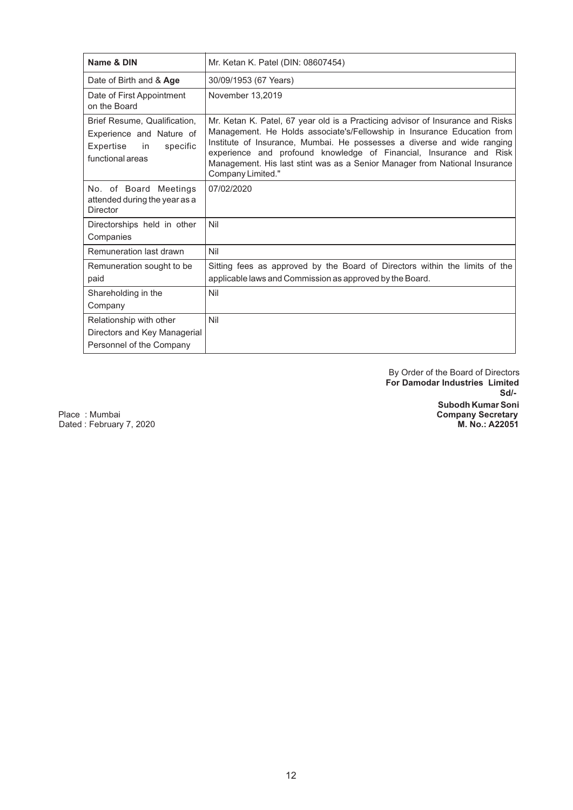| Name & DIN                                                                                                  | Mr. Ketan K. Patel (DIN: 08607454)                                                                                                                                                                                                                                                                                                                                                                            |
|-------------------------------------------------------------------------------------------------------------|---------------------------------------------------------------------------------------------------------------------------------------------------------------------------------------------------------------------------------------------------------------------------------------------------------------------------------------------------------------------------------------------------------------|
| Date of Birth and & Age                                                                                     | 30/09/1953 (67 Years)                                                                                                                                                                                                                                                                                                                                                                                         |
| Date of First Appointment<br>on the Board                                                                   | November 13,2019                                                                                                                                                                                                                                                                                                                                                                                              |
| Brief Resume, Qualification,<br>Experience and Nature of<br>Expertise<br>in<br>specific<br>functional areas | Mr. Ketan K. Patel, 67 year old is a Practicing advisor of Insurance and Risks<br>Management. He Holds associate's/Fellowship in Insurance Education from<br>Institute of Insurance, Mumbai. He possesses a diverse and wide ranging<br>experience and profound knowledge of Financial, Insurance and Risk<br>Management. His last stint was as a Senior Manager from National Insurance<br>Company Limited." |
| No. of Board Meetings<br>attended during the year as a<br><b>Director</b>                                   | 07/02/2020                                                                                                                                                                                                                                                                                                                                                                                                    |
| Directorships held in other<br>Companies                                                                    | Nil                                                                                                                                                                                                                                                                                                                                                                                                           |
| Remuneration last drawn                                                                                     | Nil                                                                                                                                                                                                                                                                                                                                                                                                           |
| Remuneration sought to be<br>paid                                                                           | Sitting fees as approved by the Board of Directors within the limits of the<br>applicable laws and Commission as approved by the Board.                                                                                                                                                                                                                                                                       |
| Shareholding in the<br>Company                                                                              | Nil                                                                                                                                                                                                                                                                                                                                                                                                           |
| Relationship with other<br>Directors and Key Managerial<br>Personnel of the Company                         | Nil                                                                                                                                                                                                                                                                                                                                                                                                           |

 By Order of the Board of Directors  **For Damodar Industries Limited Subodh Kumar Soni** Place : Mumbai **Company Secretary Sd/-** Sd/-

Dated : February 7, 2020 **M. No.: A22051**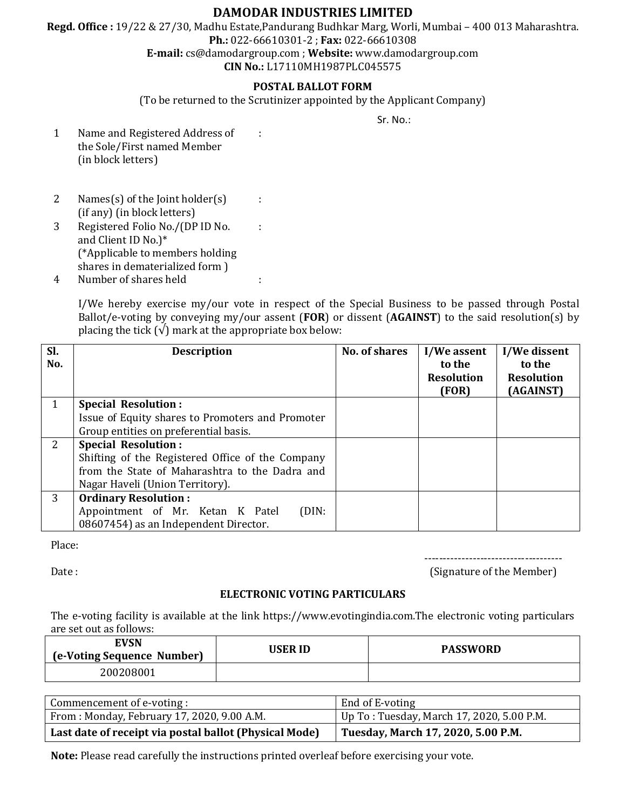# **DAMODAR INDUSTRIES LIMITED**

**Regd. Office :** 19/22 & 27/30, Madhu Estate,Pandurang Budhkar Marg, Worli, Mumbai – 400 013 Maharashtra. **Ph.:** 022-66610301-2 ; **Fax:** 022-66610308

**E-mail:** cs@damodargroup.com ; **Website:** www.damodargroup.com

**CIN No.:** L17110MH1987PLC045575

# **POSTAL BALLOT FORM**

(To be returned to the Scrutinizer appointed by the Applicant Company)

:

:

:

Sr. No.:

- 1 Name and Registered Address of the Sole/First named Member (in block letters)
- 2 Names(s) of the Joint holder(s) (if any) (in block letters) 3 Registered Folio No./(DP ID No.
- and Client ID No.)\* (\*Applicable to members holding shares in dematerialized form )
- 4 Number of shares held :

I/We hereby exercise my/our vote in respect of the Special Business to be passed through Postal Ballot/e-voting by conveying my/our assent (**FOR**) or dissent (**AGAINST**) to the said resolution(s) by placing the tick  $(\sqrt{\ } )$  mark at the appropriate box below:

| Sl.<br>No. | <b>Description</b>                               | <b>No. of shares</b> | I/We assent<br>to the<br><b>Resolution</b><br>(FOR) | I/We dissent<br>to the<br><b>Resolution</b><br>(AGAINST) |
|------------|--------------------------------------------------|----------------------|-----------------------------------------------------|----------------------------------------------------------|
|            | <b>Special Resolution:</b>                       |                      |                                                     |                                                          |
|            | Issue of Equity shares to Promoters and Promoter |                      |                                                     |                                                          |
|            | Group entities on preferential basis.            |                      |                                                     |                                                          |
| 2          | <b>Special Resolution:</b>                       |                      |                                                     |                                                          |
|            | Shifting of the Registered Office of the Company |                      |                                                     |                                                          |
|            | from the State of Maharashtra to the Dadra and   |                      |                                                     |                                                          |
|            | Nagar Haveli (Union Territory).                  |                      |                                                     |                                                          |
| 3          | <b>Ordinary Resolution:</b>                      |                      |                                                     |                                                          |
|            | Appointment of Mr. Ketan K Patel<br>(DIN:        |                      |                                                     |                                                          |
|            | 08607454) as an Independent Director.            |                      |                                                     |                                                          |

Place:

-------------------------------------

Date : (Signature of the Member) (Signature of the Member)

# **ELECTRONIC VOTING PARTICULARS**

The e-voting facility is available at the link https://www.evotingindia.com.The electronic voting particulars are set out as follows:

| EVSN<br>(e-Voting Sequence Number) | USER ID | <b>PASSWORD</b> |
|------------------------------------|---------|-----------------|
| 200208001                          |         |                 |

| Commencement of e-voting :                             | End of E-voting                            |
|--------------------------------------------------------|--------------------------------------------|
| From : Monday, February 17, 2020, 9.00 A.M.            | Up To : Tuesday, March 17, 2020, 5.00 P.M. |
| Last date of receipt via postal ballot (Physical Mode) | Tuesday, March 17, 2020, 5.00 P.M.         |

**Note:** Please read carefully the instructions printed overleaf before exercising your vote.